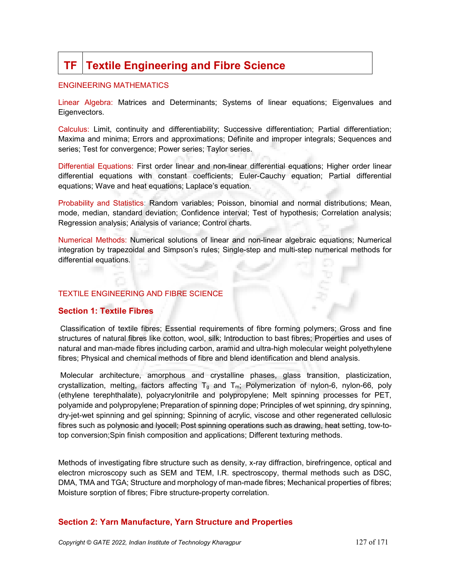# **TF Textile Engineering and Fibre Science**

#### ENGINEERING MATHEMATICS

Linear Algebra: Matrices and Determinants; Systems of linear equations; Eigenvalues and Eigenvectors.

Calculus: Limit, continuity and differentiability; Successive differentiation; Partial differentiation; Maxima and minima; Errors and approximations; Definite and improper integrals; Sequences and series; Test for convergence; Power series; Taylor series.

Differential Equations: First order linear and non-linear differential equations; Higher order linear differential equations with constant coefficients; Euler-Cauchy equation; Partial differential equations; Wave and heat equations; Laplace's equation.

Probability and Statistics: Random variables; Poisson, binomial and normal distributions; Mean, mode, median, standard deviation; Confidence interval; Test of hypothesis; Correlation analysis; Regression analysis; Analysis of variance; Control charts.

Numerical Methods: Numerical solutions of linear and non-linear algebraic equations; Numerical integration by trapezoidal and Simpson's rules; Single-step and multi-step numerical methods for differential equations.

### TEXTILE ENGINEERING AND FIBRE SCIENCE

### Section 1: Textile Fibres

Classification of textile fibres; Essential requirements of fibre forming polymers; Gross and fine structures of natural fibres like cotton, wool, silk; Introduction to bast fibres; Properties and uses of natural and man-made fibres including carbon, aramid and ultra-high molecular weight polyethylene fibres; Physical and chemical methods of fibre and blend identification and blend analysis.

 Molecular architecture, amorphous and crystalline phases, glass transition, plasticization, crystallization, melting, factors affecting  $T_g$  and  $T_m$ ; Polymerization of nylon-6, nylon-66, poly (ethylene terephthalate), polyacrylonitrile and polypropylene; Melt spinning processes for PET, polyamide and polypropylene; Preparation of spinning dope; Principles of wet spinning, dry spinning, dry-jet-wet spinning and gel spinning; Spinning of acrylic, viscose and other regenerated cellulosic fibres such as polynosic and lyocell; Post spinning operations such as drawing, heat setting, tow-totop conversion;Spin finish composition and applications; Different texturing methods.

Methods of investigating fibre structure such as density, x-ray diffraction, birefringence, optical and electron microscopy such as SEM and TEM, I.R. spectroscopy, thermal methods such as DSC, DMA, TMA and TGA; Structure and morphology of man-made fibres; Mechanical properties of fibres; Moisture sorption of fibres; Fibre structure-property correlation.

### Section 2: Yarn Manufacture, Yarn Structure and Properties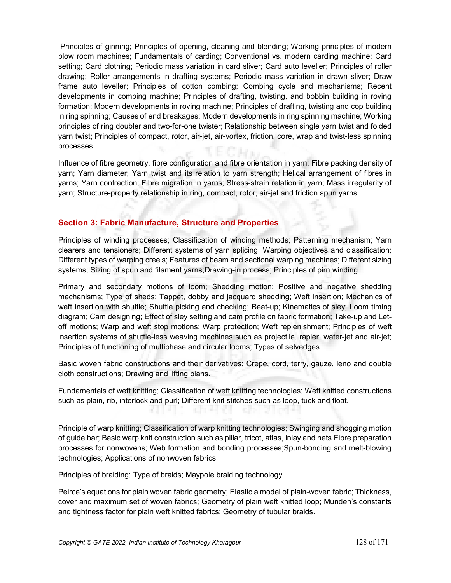Principles of ginning; Principles of opening, cleaning and blending; Working principles of modern blow room machines; Fundamentals of carding; Conventional vs. modern carding machine; Card setting; Card clothing; Periodic mass variation in card sliver; Card auto leveller; Principles of roller drawing; Roller arrangements in drafting systems; Periodic mass variation in drawn sliver; Draw frame auto leveller; Principles of cotton combing; Combing cycle and mechanisms; Recent developments in combing machine; Principles of drafting, twisting, and bobbin building in roving formation; Modern developments in roving machine; Principles of drafting, twisting and cop building in ring spinning; Causes of end breakages; Modern developments in ring spinning machine; Working principles of ring doubler and two-for-one twister; Relationship between single yarn twist and folded yarn twist; Principles of compact, rotor, air-jet, air-vortex, friction, core, wrap and twist-less spinning processes.

Influence of fibre geometry, fibre configuration and fibre orientation in yarn; Fibre packing density of yarn; Yarn diameter; Yarn twist and its relation to yarn strength; Helical arrangement of fibres in yarns; Yarn contraction; Fibre migration in yarns; Stress-strain relation in yarn; Mass irregularity of yarn; Structure-property relationship in ring, compact, rotor, air-jet and friction spun yarns.

# Section 3: Fabric Manufacture, Structure and Properties

Principles of winding processes; Classification of winding methods; Patterning mechanism; Yarn clearers and tensioners; Different systems of yarn splicing; Warping objectives and classification; Different types of warping creels; Features of beam and sectional warping machines; Different sizing systems; Sizing of spun and filament yarns;Drawing-in process; Principles of pirn winding.

Primary and secondary motions of loom; Shedding motion; Positive and negative shedding mechanisms; Type of sheds; Tappet, dobby and jacquard shedding; Weft insertion; Mechanics of weft insertion with shuttle; Shuttle picking and checking; Beat-up; Kinematics of sley; Loom timing diagram; Cam designing; Effect of sley setting and cam profile on fabric formation; Take-up and Letoff motions; Warp and weft stop motions; Warp protection; Weft replenishment; Principles of weft insertion systems of shuttle-less weaving machines such as projectile, rapier, water-jet and air-jet; Principles of functioning of multiphase and circular looms; Types of selvedges.

Basic woven fabric constructions and their derivatives; Crepe, cord, terry, gauze, leno and double cloth constructions; Drawing and lifting plans.

Fundamentals of weft knitting; Classification of weft knitting technologies; Weft knitted constructions such as plain, rib, interlock and purl; Different knit stitches such as loop, tuck and float.

Principle of warp knitting; Classification of warp knitting technologies; Swinging and shogging motion of guide bar; Basic warp knit construction such as pillar, tricot, atlas, inlay and nets.Fibre preparation processes for nonwovens; Web formation and bonding processes;Spun-bonding and melt-blowing technologies; Applications of nonwoven fabrics.

Principles of braiding; Type of braids; Maypole braiding technology.

Peirce's equations for plain woven fabric geometry; Elastic a model of plain-woven fabric; Thickness, cover and maximum set of woven fabrics; Geometry of plain weft knitted loop; Munden's constants and tightness factor for plain weft knitted fabrics; Geometry of tubular braids.